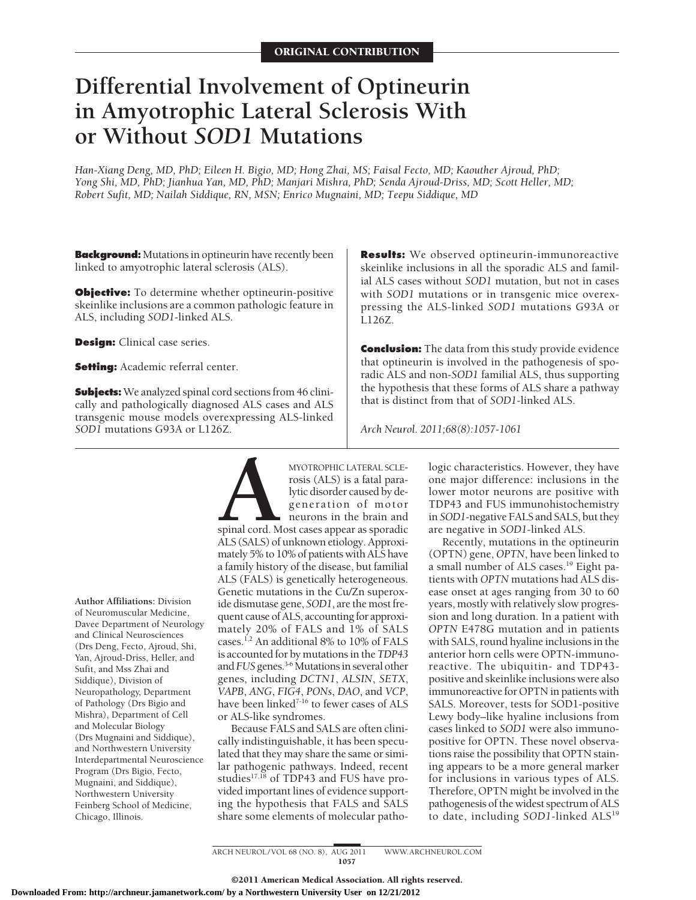# **Differential Involvement of Optineurin in Amyotrophic Lateral Sclerosis With or Without** *SOD1* **Mutations**

*Han-Xiang Deng, MD, PhD; Eileen H. Bigio, MD; Hong Zhai, MS; Faisal Fecto, MD; Kaouther Ajroud, PhD; Yong Shi, MD, PhD; Jianhua Yan, MD, PhD; Manjari Mishra, PhD; Senda Ajroud-Driss, MD; Scott Heller, MD; Robert Sufit, MD; Nailah Siddique, RN, MSN; Enrico Mugnaini, MD; Teepu Siddique, MD*

**Background:** Mutations in optineurin have recently been linked to amyotrophic lateral sclerosis (ALS).

**Objective:** To determine whether optineurin-positive skeinlike inclusions are a common pathologic feature in ALS, including *SOD1*-linked ALS.

**Design:** Clinical case series.

**Setting:** Academic referral center.

**Subjects:** We analyzed spinal cord sections from 46 clinically and pathologically diagnosed ALS cases and ALS transgenic mouse models overexpressing ALS-linked *SOD1* mutations G93A or L126Z.

**Author Affiliations:** Division of Neuromuscular Medicine, Davee Department of Neurology and Clinical Neurosciences (Drs Deng, Fecto, Ajroud, Shi, Yan, Ajroud-Driss, Heller, and Sufit, and Mss Zhai and Siddique), Division of Neuropathology, Department of Pathology (Drs Bigio and Mishra), Department of Cell and Molecular Biology (Drs Mugnaini and Siddique), and Northwestern University Interdepartmental Neuroscience Program (Drs Bigio, Fecto, Mugnaini, and Siddique), Northwestern University Feinberg School of Medicine, Chicago, Illinois.

MYOTROPHIC LATERAL SCLE-<br>
rosis (ALS) is a fatal para-<br>
lytic disorder caused by de-<br>
generation of motor<br>
neurons in the brain and<br>
spinal cord. Most cases appear as sporadic<br>
ALS (SALS) of unknown etiology. Approxirosis (ALS) is a fatal paralytic disorder caused by degeneration of motor neurons in the brain and spinal cord. Most cases appear as sporadic ALS (SALS) of unknown etiology. Approximately 5% to 10% of patients with ALS have a family history of the disease, but familial ALS (FALS) is genetically heterogeneous. Genetic mutations in the Cu/Zn superoxide dismutase gene, *SOD1*, are the most frequent cause of ALS, accounting for approximately 20% of FALS and 1% of SALS cases.<sup>1,2</sup> An additional 8% to 10% of FALS is accounted for by mutations in the *TDP43* and *FUS* genes.<sup>3-6</sup> Mutations in several other genes, including *DCTN1*, *ALSIN*, *SETX*, *VAPB*, *ANG*, *FIG4*, *PONs*, *DAO*, and *VCP*, have been linked<sup>7-16</sup> to fewer cases of ALS or ALS-like syndromes.

Because FALS and SALS are often clinically indistinguishable, it has been speculated that they may share the same or similar pathogenic pathways. Indeed, recent studies $17,18$  of TDP43 and FUS have provided important lines of evidence supporting the hypothesis that FALS and SALS share some elements of molecular patho-

**Results:** We observed optineurin-immunoreactive skeinlike inclusions in all the sporadic ALS and familial ALS cases without *SOD1* mutation, but not in cases with *SOD1* mutations or in transgenic mice overexpressing the ALS-linked *SOD1* mutations G93A or L126Z.

**Conclusion:** The data from this study provide evidence that optineurin is involved in the pathogenesis of sporadic ALS and non-*SOD1* familial ALS, thus supporting the hypothesis that these forms of ALS share a pathway that is distinct from that of *SOD1*-linked ALS.

*Arch Neurol. 2011;68(8):1057-1061*

logic characteristics. However, they have one major difference: inclusions in the lower motor neurons are positive with TDP43 and FUS immunohistochemistry in *SOD1*-negative FALS and SALS, but they are negative in *SOD1*-linked ALS.

Recently, mutations in the optineurin (OPTN) gene, *OPTN*, have been linked to a small number of ALS cases.19 Eight patients with *OPTN* mutations had ALS disease onset at ages ranging from 30 to 60 years, mostly with relatively slow progression and long duration. In a patient with *OPTN* E478G mutation and in patients with SALS, round hyaline inclusions in the anterior horn cells were OPTN-immunoreactive. The ubiquitin- and TDP43 positive and skeinlike inclusions were also immunoreactive for OPTN in patients with SALS. Moreover, tests for SOD1-positive Lewy body–like hyaline inclusions from cases linked to *SOD1* were also immunopositive for OPTN. These novel observations raise the possibility that OPTN staining appears to be a more general marker for inclusions in various types of ALS. Therefore, OPTN might be involved in the pathogenesis of the widest spectrum of ALS to date, including *SOD1*-linked ALS<sup>19</sup>

ARCH NEUROL/VOL 68 (NO. 8), AUG 2011 WWW.ARCHNEUROL.COM 1057

©2011 American Medical Association. All rights reserved.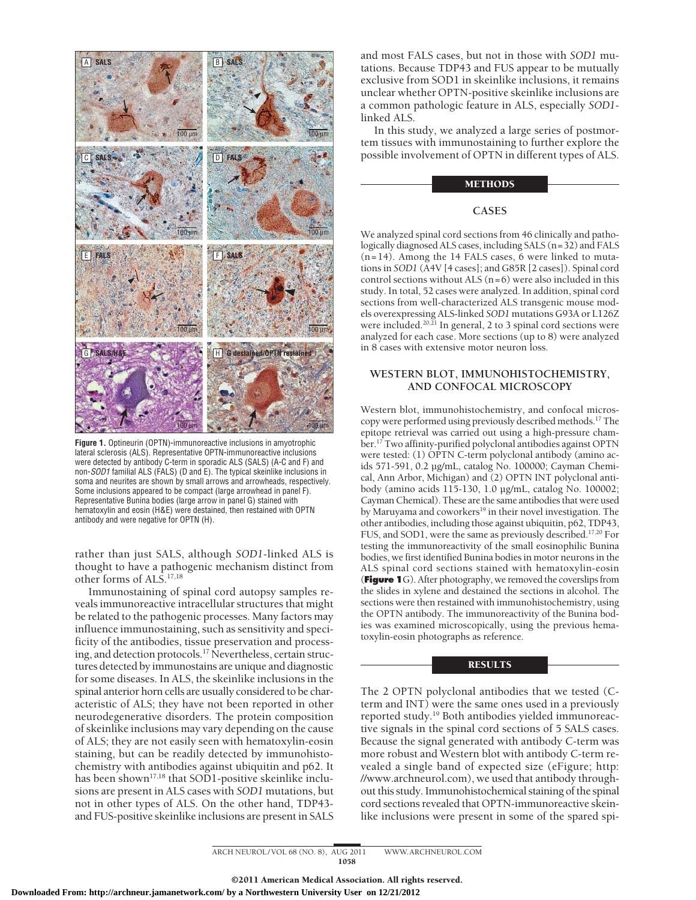

**Figure 1.** Optineurin (OPTN)-immunoreactive inclusions in amyotrophic lateral sclerosis (ALS). Representative OPTN-immunoreactive inclusions were detected by antibody C-term in sporadic ALS (SALS) (A-C and F) and non-*SOD1* familial ALS (FALS) (D and E). The typical skeinlike inclusions in soma and neurites are shown by small arrows and arrowheads, respectively. Some inclusions appeared to be compact (large arrowhead in panel F). Representative Bunina bodies (large arrow in panel G) stained with hematoxylin and eosin (H&E) were destained, then restained with OPTN antibody and were negative for OPTN (H).

rather than just SALS, although *SOD1*-linked ALS is thought to have a pathogenic mechanism distinct from other forms of ALS.17,18

Immunostaining of spinal cord autopsy samples reveals immunoreactive intracellular structures that might be related to the pathogenic processes. Many factors may influence immunostaining, such as sensitivity and specificity of the antibodies, tissue preservation and processing, and detection protocols.<sup>17</sup> Nevertheless, certain structures detected by immunostains are unique and diagnostic for some diseases. In ALS, the skeinlike inclusions in the spinal anterior horn cells are usually considered to be characteristic of ALS; they have not been reported in other neurodegenerative disorders. The protein composition of skeinlike inclusions may vary depending on the cause of ALS; they are not easily seen with hematoxylin-eosin staining, but can be readily detected by immunohistochemistry with antibodies against ubiquitin and p62. It has been shown<sup>17,18</sup> that SOD1-positive skeinlike inclusions are present in ALS cases with *SOD1* mutations, but not in other types of ALS. On the other hand, TDP43 and FUS-positive skeinlike inclusions are present in SALS and most FALS cases, but not in those with *SOD1* mutations. Because TDP43 and FUS appear to be mutually exclusive from SOD1 in skeinlike inclusions, it remains unclear whether OPTN-positive skeinlike inclusions are a common pathologic feature in ALS, especially *SOD1* linked ALS.

In this study, we analyzed a large series of postmortem tissues with immunostaining to further explore the possible involvement of OPTN in different types of ALS.

## METHODS

# **CASES**

We analyzed spinal cord sections from 46 clinically and pathologically diagnosed ALS cases, including SALS (n=32) and FALS  $(n=14)$ . Among the 14 FALS cases, 6 were linked to mutations in *SOD1* (A4V [4 cases]; and G85R [2 cases]). Spinal cord control sections without ALS (n=6) were also included in this study. In total, 52 cases were analyzed. In addition, spinal cord sections from well-characterized ALS transgenic mouse models overexpressing ALS-linked *SOD1* mutations G93A or L126Z were included.<sup>20,21</sup> In general, 2 to 3 spinal cord sections were analyzed for each case. More sections (up to 8) were analyzed in 8 cases with extensive motor neuron loss.

## **WESTERN BLOT, IMMUNOHISTOCHEMISTRY, AND CONFOCAL MICROSCOPY**

Western blot, immunohistochemistry, and confocal microscopy were performed using previously described methods.17 The epitope retrieval was carried out using a high-pressure chamber.17 Two affinity-purified polyclonal antibodies against OPTN were tested: (1) OPTN C-term polyclonal antibody (amino acids 571-591, 0.2 µg/mL, catalog No. 100000; Cayman Chemical, Ann Arbor, Michigan) and (2) OPTN INT polyclonal antibody (amino acids 115-130, 1.0 µg/mL, catalog No. 100002; Cayman Chemical). These are the same antibodies that were used by Maruyama and coworkers<sup>19</sup> in their novel investigation. The other antibodies, including those against ubiquitin, p62, TDP43, FUS, and SOD1, were the same as previously described.<sup>17,20</sup> For testing the immunoreactivity of the small eosinophilic Bunina bodies, we first identified Bunina bodies in motor neurons in the ALS spinal cord sections stained with hematoxylin-eosin (**Figure 1**G). After photography, we removed the coverslips from the slides in xylene and destained the sections in alcohol. The sections were then restained with immunohistochemistry, using the OPTN antibody. The immunoreactivity of the Bunina bodies was examined microscopically, using the previous hematoxylin-eosin photographs as reference.

#### RESULTS

The 2 OPTN polyclonal antibodies that we tested (Cterm and INT) were the same ones used in a previously reported study.19 Both antibodies yielded immunoreactive signals in the spinal cord sections of 5 SALS cases. Because the signal generated with antibody C-term was more robust and Western blot with antibody C-term revealed a single band of expected size (eFigure; http: //www.archneurol.com), we used that antibody throughout this study. Immunohistochemical staining of the spinal cord sections revealed that OPTN-immunoreactive skeinlike inclusions were present in some of the spared spi-

ARCH NEUROL/VOL 68 (NO. 8), AUG 2011 WWW.ARCHNEUROL.COM 1058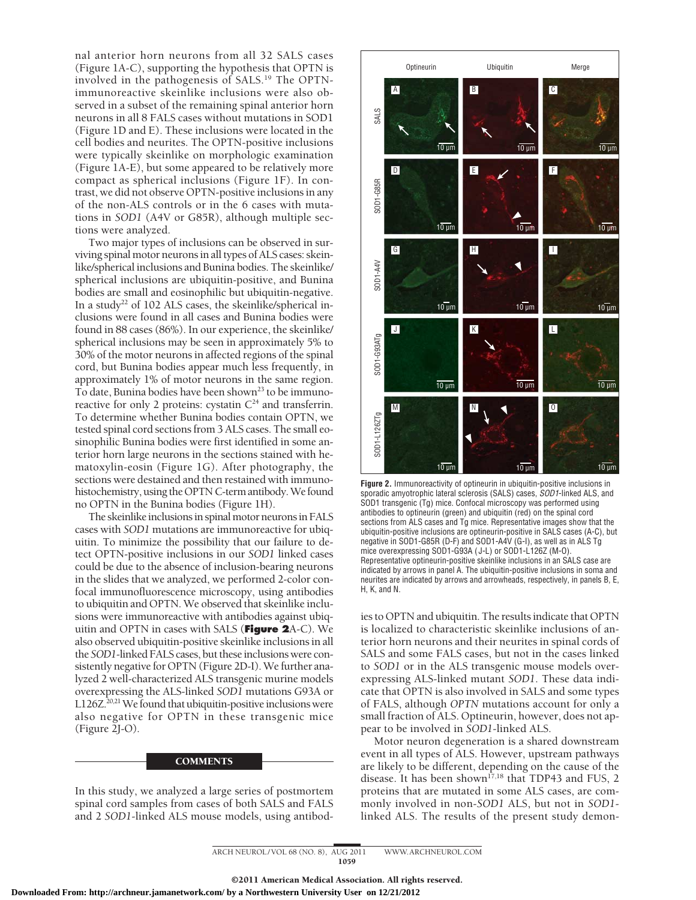nal anterior horn neurons from all 32 SALS cases (Figure 1A-C), supporting the hypothesis that OPTN is involved in the pathogenesis of SALS.19 The OPTNimmunoreactive skeinlike inclusions were also observed in a subset of the remaining spinal anterior horn neurons in all 8 FALS cases without mutations in SOD1 (Figure 1D and E). These inclusions were located in the cell bodies and neurites. The OPTN-positive inclusions were typically skeinlike on morphologic examination (Figure 1A-E), but some appeared to be relatively more compact as spherical inclusions (Figure 1F). In contrast, we did not observe OPTN-positive inclusions in any of the non-ALS controls or in the 6 cases with mutations in *SOD1* (A4V or G85R), although multiple sections were analyzed.

Two major types of inclusions can be observed in surviving spinal motor neurons in all types of ALS cases: skeinlike/spherical inclusions and Bunina bodies. The skeinlike/ spherical inclusions are ubiquitin-positive, and Bunina bodies are small and eosinophilic but ubiquitin-negative. In a study<sup>22</sup> of 102 ALS cases, the skeinlike/spherical inclusions were found in all cases and Bunina bodies were found in 88 cases (86%). In our experience, the skeinlike/ spherical inclusions may be seen in approximately 5% to 30% of the motor neurons in affected regions of the spinal cord, but Bunina bodies appear much less frequently, in approximately 1% of motor neurons in the same region. To date, Bunina bodies have been shown<sup>23</sup> to be immunoreactive for only 2 proteins: cystatin  $C<sup>24</sup>$  and transferrin. To determine whether Bunina bodies contain OPTN, we tested spinal cord sections from 3 ALS cases. The small eosinophilic Bunina bodies were first identified in some anterior horn large neurons in the sections stained with hematoxylin-eosin (Figure 1G). After photography, the sections were destained and then restained with immunohistochemistry, using the OPTN C-term antibody. We found no OPTN in the Bunina bodies (Figure 1H).

The skeinlike inclusions in spinal motor neurons in FALS cases with *SOD1* mutations are immunoreactive for ubiquitin. To minimize the possibility that our failure to detect OPTN-positive inclusions in our *SOD1* linked cases could be due to the absence of inclusion-bearing neurons in the slides that we analyzed, we performed 2-color confocal immunofluorescence microscopy, using antibodies to ubiquitin and OPTN. We observed that skeinlike inclusions were immunoreactive with antibodies against ubiquitin and OPTN in cases with SALS (**Figure 2**A-C). We also observed ubiquitin-positive skeinlike inclusions in all the *SOD1*-linked FALS cases, but these inclusions were consistently negative for OPTN (Figure 2D-I). We further analyzed 2 well-characterized ALS transgenic murine models overexpressing the ALS-linked *SOD1* mutations G93A or L126Z.<sup>20,21</sup> We found that ubiquitin-positive inclusions were also negative for OPTN in these transgenic mice (Figure 2J-O).

#### **COMMENTS**

In this study, we analyzed a large series of postmortem spinal cord samples from cases of both SALS and FALS and 2 *SOD1*-linked ALS mouse models, using antibod-



**Figure 2.** Immunoreactivity of optineurin in ubiquitin-positive inclusions in sporadic amyotrophic lateral sclerosis (SALS) cases, *SOD1*-linked ALS, and SOD1 transgenic (Tg) mice. Confocal microscopy was performed using antibodies to optineurin (green) and ubiquitin (red) on the spinal cord sections from ALS cases and Tq mice. Representative images show that the ubiquitin-positive inclusions are optineurin-positive in SALS cases (A-C), but negative in SOD1-G85R (D-F) and SOD1-A4V (G-I), as well as in ALS Tg mice overexpressing SOD1-G93A ( J-L) or SOD1-L126Z (M-O). Representative optineurin-positive skeinlike inclusions in an SALS case are indicated by arrows in panel A. The ubiquitin-positive inclusions in soma and neurites are indicated by arrows and arrowheads, respectively, in panels B, E, H, K, and N.

ies to OPTN and ubiquitin. The results indicate that OPTN is localized to characteristic skeinlike inclusions of anterior horn neurons and their neurites in spinal cords of SALS and some FALS cases, but not in the cases linked to *SOD1* or in the ALS transgenic mouse models overexpressing ALS-linked mutant *SOD1*. These data indicate that OPTN is also involved in SALS and some types of FALS, although *OPTN* mutations account for only a small fraction of ALS. Optineurin, however, does not appear to be involved in *SOD1*-linked ALS.

Motor neuron degeneration is a shared downstream event in all types of ALS. However, upstream pathways are likely to be different, depending on the cause of the disease. It has been shown<sup>17,18</sup> that TDP43 and FUS, 2 proteins that are mutated in some ALS cases, are commonly involved in non-*SOD1* ALS, but not in *SOD1*-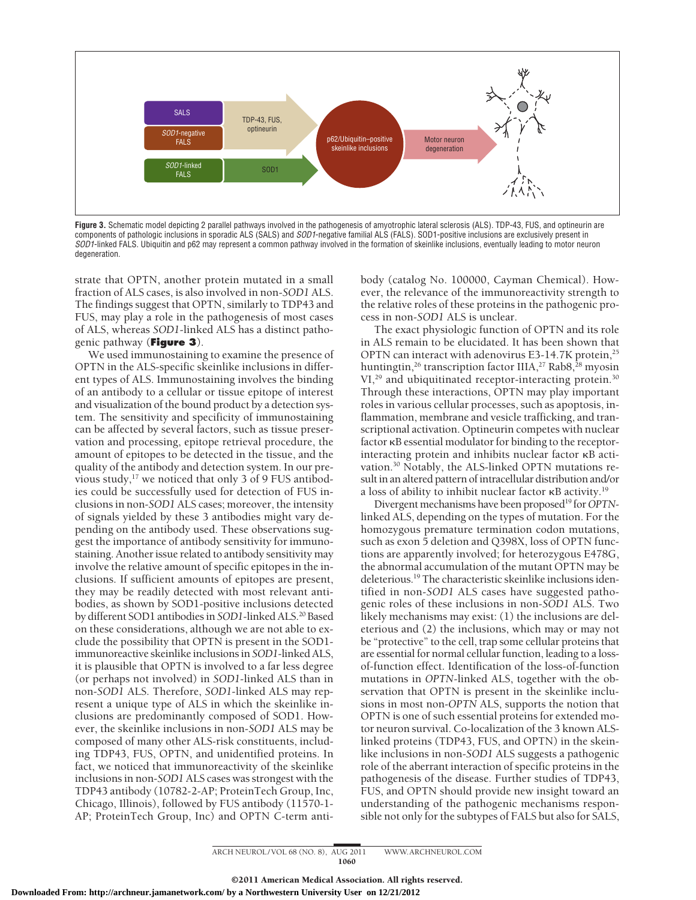

**Figure 3.** Schematic model depicting 2 parallel pathways involved in the pathogenesis of amyotrophic lateral sclerosis (ALS). TDP-43, FUS, and optineurin are components of pathologic inclusions in sporadic ALS (SALS) and *SOD1*-negative familial ALS (FALS). SOD1-positive inclusions are exclusively present in *SOD1*-linked FALS. Ubiquitin and p62 may represent a common pathway involved in the formation of skeinlike inclusions, eventually leading to motor neuron degeneration.

strate that OPTN, another protein mutated in a small fraction of ALS cases, is also involved in non-*SOD1* ALS. The findings suggest that OPTN, similarly to TDP43 and FUS, may play a role in the pathogenesis of most cases of ALS, whereas *SOD1*-linked ALS has a distinct pathogenic pathway (**Figure 3**).

We used immunostaining to examine the presence of OPTN in the ALS-specific skeinlike inclusions in different types of ALS. Immunostaining involves the binding of an antibody to a cellular or tissue epitope of interest and visualization of the bound product by a detection system. The sensitivity and specificity of immunostaining can be affected by several factors, such as tissue preservation and processing, epitope retrieval procedure, the amount of epitopes to be detected in the tissue, and the quality of the antibody and detection system. In our previous study, $17$  we noticed that only 3 of 9 FUS antibodies could be successfully used for detection of FUS inclusions in non-*SOD1* ALS cases; moreover, the intensity of signals yielded by these 3 antibodies might vary depending on the antibody used. These observations suggest the importance of antibody sensitivity for immunostaining. Another issue related to antibody sensitivity may involve the relative amount of specific epitopes in the inclusions. If sufficient amounts of epitopes are present, they may be readily detected with most relevant antibodies, as shown by SOD1-positive inclusions detected by different SOD1 antibodies in *SOD1*-linked ALS.20 Based on these considerations, although we are not able to exclude the possibility that OPTN is present in the SOD1 immunoreactive skeinlike inclusions in *SOD1*-linked ALS, it is plausible that OPTN is involved to a far less degree (or perhaps not involved) in *SOD1*-linked ALS than in non-*SOD1* ALS. Therefore, *SOD1*-linked ALS may represent a unique type of ALS in which the skeinlike inclusions are predominantly composed of SOD1. However, the skeinlike inclusions in non-*SOD1* ALS may be composed of many other ALS-risk constituents, including TDP43, FUS, OPTN, and unidentified proteins. In fact, we noticed that immunoreactivity of the skeinlike inclusions in non-*SOD1* ALS cases was strongest with the TDP43 antibody (10782-2-AP; ProteinTech Group, Inc, Chicago, Illinois), followed by FUS antibody (11570-1- AP; ProteinTech Group, Inc) and OPTN C-term anti-

body (catalog No. 100000, Cayman Chemical). However, the relevance of the immunoreactivity strength to the relative roles of these proteins in the pathogenic process in non-*SOD1* ALS is unclear.

The exact physiologic function of OPTN and its role in ALS remain to be elucidated. It has been shown that OPTN can interact with adenovirus E3-14.7K protein,<sup>25</sup> huntingtin,<sup>26</sup> transcription factor IIIA,<sup>27</sup> Rab8,<sup>28</sup> myosin VI,<sup>29</sup> and ubiquitinated receptor-interacting protein.<sup>30</sup> Through these interactions, OPTN may play important roles in various cellular processes, such as apoptosis, inflammation, membrane and vesicle trafficking, and transcriptional activation. Optineurin competes with nuclear factor  $\kappa$ B essential modulator for binding to the receptorinteracting protein and inhibits nuclear factor **KB** activation.30 Notably, the ALS-linked OPTN mutations result in an altered pattern of intracellular distribution and/or a loss of ability to inhibit nuclear factor  $\kappa$ B activity. $^{19}$ 

Divergent mechanisms have been proposed<sup>19</sup> for *OPTN*linked ALS, depending on the types of mutation. For the homozygous premature termination codon mutations, such as exon 5 deletion and Q398X, loss of OPTN functions are apparently involved; for heterozygous E478G, the abnormal accumulation of the mutant OPTN may be deleterious.19 The characteristic skeinlike inclusions identified in non-*SOD1* ALS cases have suggested pathogenic roles of these inclusions in non-*SOD1* ALS. Two likely mechanisms may exist: (1) the inclusions are deleterious and (2) the inclusions, which may or may not be "protective" to the cell, trap some cellular proteins that are essential for normal cellular function, leading to a lossof-function effect. Identification of the loss-of-function mutations in *OPTN*-linked ALS, together with the observation that OPTN is present in the skeinlike inclusions in most non-*OPTN* ALS, supports the notion that OPTN is one of such essential proteins for extended motor neuron survival. Co-localization of the 3 known ALSlinked proteins (TDP43, FUS, and OPTN) in the skeinlike inclusions in non-*SOD1* ALS suggests a pathogenic role of the aberrant interaction of specific proteins in the pathogenesis of the disease. Further studies of TDP43, FUS, and OPTN should provide new insight toward an understanding of the pathogenic mechanisms responsible not only for the subtypes of FALS but also for SALS,